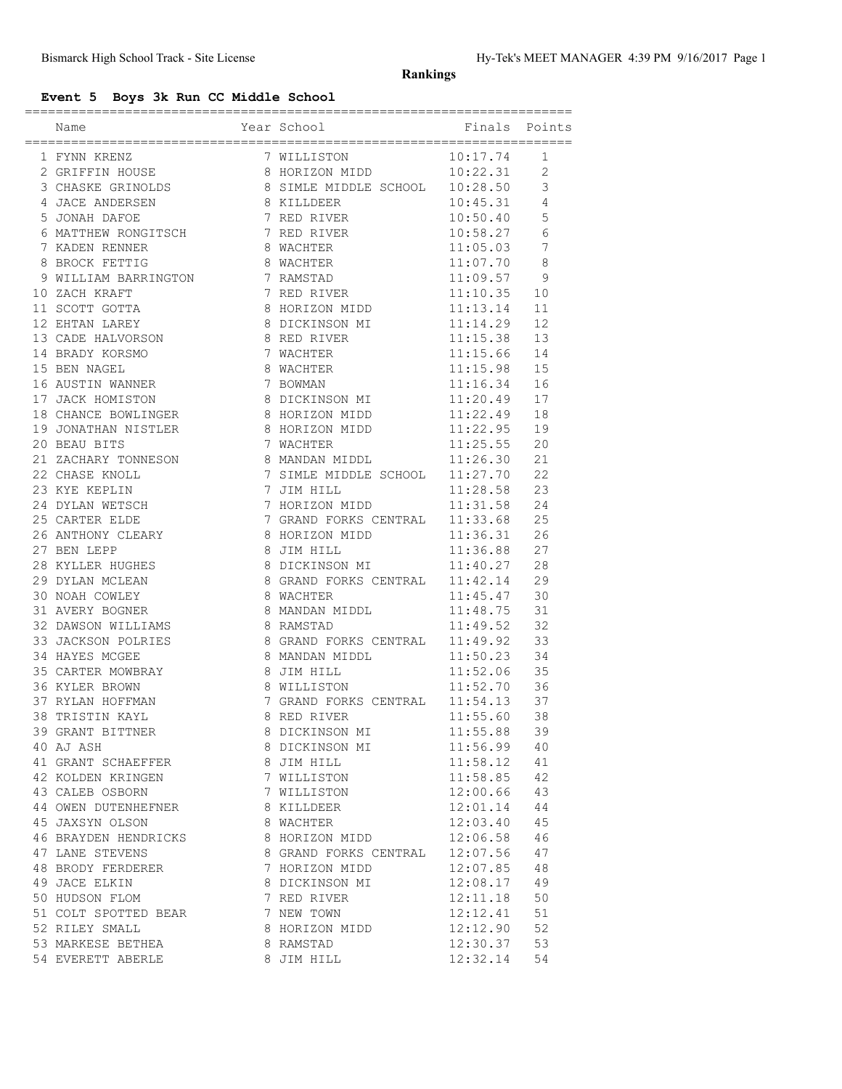## **Rankings**

# **Event 5 Boys 3k Run CC Middle School**

|                                                                                                                                                                                                                                                                                                         |                                                              | =========================== |                |
|---------------------------------------------------------------------------------------------------------------------------------------------------------------------------------------------------------------------------------------------------------------------------------------------------------|--------------------------------------------------------------|-----------------------------|----------------|
| Name                                                                                                                                                                                                                                                                                                    | Year School                                                  | Finals                      | Points         |
| 1 FYNN KRENZ<br>2 GRIFFIN HOUSE 8 HORIZON MIDD<br>3 CHASKE GRINOLDS 8 SIMLE MIDDLE SCHOOL                                                                                                                                                                                                               |                                                              | 10:17.74                    | 1              |
|                                                                                                                                                                                                                                                                                                         |                                                              | 10:22.31                    | $\overline{2}$ |
|                                                                                                                                                                                                                                                                                                         | 8 SIMLE MIDDLE SCHOOL 10:28.50                               |                             | $\mathsf 3$    |
| 4 JACE ANDERSEN 8 KILLDEER                                                                                                                                                                                                                                                                              |                                                              | 10:45.31                    | 4              |
| 5 JONAH DAFOE                                                                                                                                                                                                                                                                                           | 7 RED RIVER 10:50.40                                         |                             | 5              |
| 6 MATTHEW RONGITSCH 7 RED RIVER                                                                                                                                                                                                                                                                         |                                                              | 10:58.27                    | 6              |
| 7 KADEN RENNER                                                                                                                                                                                                                                                                                          | 8 WACHTER                                                    | 11:05.03                    | 7              |
| 8 BROCK FETTIG                                                                                                                                                                                                                                                                                          | 8 WACHTER                                                    | 11:07.70                    | $\,8\,$        |
| 9 WILLIAM BARRINGTON                                                                                                                                                                                                                                                                                    | 7 RAMSTAD                                                    | 11:09.57                    | 9              |
| 10 ZACH KRAFT<br>11 SCOTT GOTTA                                                                                                                                                                                                                                                                         | 7 RED RIVER                                                  | 11:10.35                    | 10             |
|                                                                                                                                                                                                                                                                                                         | 8 HORIZON MIDD                                               | 11:13.14                    | 11             |
| 12 EHTAN LAREY                                                                                                                                                                                                                                                                                          | 8 DICKINSON MI 11:14.29                                      |                             | 12             |
| $\begin{array}{cccc}\n 13 & \texttt{CADE} & \texttt{HALVORSON} \\  14 & \texttt{BRADY} & \texttt{KORSMO} \\  \end{array} \hspace{1.5cm} \begin{array}{cccc}\n 8 & \texttt{RED RIVER} \\  7 & \texttt{WACHTER} \\  \end{array} \hspace{1.5cm} \begin{array}{cccc}\n 11:15.38 \\  11:15.66\n \end{array}$ |                                                              |                             | 13             |
| 14 BRADY KORSMO                                                                                                                                                                                                                                                                                         |                                                              | 11:15.66                    | 14             |
| 15 BEN NAGEL                                                                                                                                                                                                                                                                                            | 7 WACHTER<br>8 WACHTER                                       | 11:15.98                    | 15             |
| 16 AUSTIN WANNER                                                                                                                                                                                                                                                                                        | 7 BOWMAN                                                     | 11:16.34                    | 16             |
| 17 JACK HOMISTON                                                                                                                                                                                                                                                                                        | 8 DICKINSON MI 11:20.49                                      |                             | 17             |
| 18 CHANCE BOWLINGER 8 HORIZON MIDD 11:22.49                                                                                                                                                                                                                                                             |                                                              |                             | 18             |
| 19 JONATHAN NISTLER 8 HORIZON MIDD 11:22.95                                                                                                                                                                                                                                                             |                                                              |                             | 19             |
| 20 BEAU BITS                                                                                                                                                                                                                                                                                            |                                                              | 11:25.55                    | 20             |
|                                                                                                                                                                                                                                                                                                         | 7 WACHTER<br>8 MANDAN MIDDL                                  | 11:26.30                    | 21             |
| 21 ZACHARY TONNESON<br>22 CHASE KNOLL                                                                                                                                                                                                                                                                   | 7 SIMLE MIDDLE SCHOOL 11:27.70                               |                             | 22             |
| 23 KYE KEPLIN                                                                                                                                                                                                                                                                                           | 7 JIM HILL                                                   | 11:28.58                    | 23             |
| 24 DYLAN WETSCH                                                                                                                                                                                                                                                                                         | 7 HORIZON MIDD 11:31.58                                      |                             | 24             |
| 25 CARTER ELDE                                                                                                                                                                                                                                                                                          | 11:31.58<br>7 GRAND FORKS CENTRAL 11:33.68<br>8 HORIZON MIDD |                             | 25             |
|                                                                                                                                                                                                                                                                                                         |                                                              |                             | 26             |
| 26 ANTHONY CLEARY<br>27 BEN LEPP                                                                                                                                                                                                                                                                        | 8 HORIZON MIDD<br>8 JIM HILL                                 | 11:36.31<br>11:36.88        | 27             |
| 28 KYLLER HUGHES                                                                                                                                                                                                                                                                                        | 8 DICKINSON MI 11:40.27                                      |                             | 28             |
| 29 DYLAN MCLEAN                                                                                                                                                                                                                                                                                         | 8 GRAND FORKS CENTRAL 11:42.14                               |                             | 29             |
| 30 NOAH COWLEY                                                                                                                                                                                                                                                                                          | 8 WACHTER                                                    | 11:45.47                    | 30             |
| 31 AVERY BOGNER                                                                                                                                                                                                                                                                                         | 8 MANDAN MIDDL 11:48.75                                      |                             | 31             |
| 32 DAWSON WILLIAMS                                                                                                                                                                                                                                                                                      | 8 RAMSTAD                                                    | 11:49.52                    | 32             |
| 33 JACKSON POLRIES                                                                                                                                                                                                                                                                                      | 8 GRAND FORKS CENTRAL 11:49.92                               |                             | 33             |
| 34 HAYES MCGEE                                                                                                                                                                                                                                                                                          | 8 MANDAN MIDDL 11:50.23                                      |                             | 34             |
| 35 CARTER MOWBRAY                                                                                                                                                                                                                                                                                       | 11:52.06<br>8 JIM HILL                                       |                             | 35             |
| 36 KYLER BROWN                                                                                                                                                                                                                                                                                          | 8 WILLISTON 11:52.70                                         |                             | 36             |
| 37 RYLAN HOFFMAN<br>38 TRISTIN KAYL                                                                                                                                                                                                                                                                     | 7 GRAND FORKS CENTRAL 11:54.13                               |                             | 37             |
|                                                                                                                                                                                                                                                                                                         | 8 RED RIVER                                                  | 11:55.60                    | 38             |
| 39 GRANT BITTNER                                                                                                                                                                                                                                                                                        | 8 DICKINSON MI                                               | 11:55.88                    | 39             |
| 40 AJ ASH                                                                                                                                                                                                                                                                                               | 8 DICKINSON MI                                               | 11:56.99                    | 40             |
| 41 GRANT SCHAEFFER                                                                                                                                                                                                                                                                                      | 8 JIM HILL                                                   | 11:58.12                    | 41             |
| 42 KOLDEN KRINGEN                                                                                                                                                                                                                                                                                       | 7 WILLISTON                                                  | 11:58.85                    | 42             |
| 43 CALEB OSBORN                                                                                                                                                                                                                                                                                         | 7 WILLISTON                                                  | 12:00.66                    | 43             |
| 44 OWEN DUTENHEFNER                                                                                                                                                                                                                                                                                     | 8 KILLDEER                                                   | 12:01.14                    | 44             |
| 45 JAXSYN OLSON                                                                                                                                                                                                                                                                                         | 8 WACHTER                                                    | 12:03.40                    | 45             |
| 46 BRAYDEN HENDRICKS                                                                                                                                                                                                                                                                                    | 8 HORIZON MIDD                                               | 12:06.58                    | 46             |
| 47 LANE STEVENS                                                                                                                                                                                                                                                                                         | 8 GRAND FORKS CENTRAL                                        | 12:07.56                    | 47             |
| 48 BRODY FERDERER                                                                                                                                                                                                                                                                                       | 7 HORIZON MIDD                                               | 12:07.85                    | 48             |
| 49 JACE ELKIN                                                                                                                                                                                                                                                                                           | 8 DICKINSON MI                                               | 12:08.17                    | 49             |
| 50 HUDSON FLOM                                                                                                                                                                                                                                                                                          | 7 RED RIVER                                                  | 12:11.18                    | 50             |
| 51 COLT SPOTTED BEAR                                                                                                                                                                                                                                                                                    | 7 NEW TOWN                                                   | 12:12.41                    | 51             |
| 52 RILEY SMALL                                                                                                                                                                                                                                                                                          | 8 HORIZON MIDD                                               | 12:12.90                    | 52             |
| 53 MARKESE BETHEA                                                                                                                                                                                                                                                                                       | 8 RAMSTAD                                                    | 12:30.37                    | 53             |
| 54 EVERETT ABERLE                                                                                                                                                                                                                                                                                       | 8 JIM HILL                                                   | 12:32.14                    | 54             |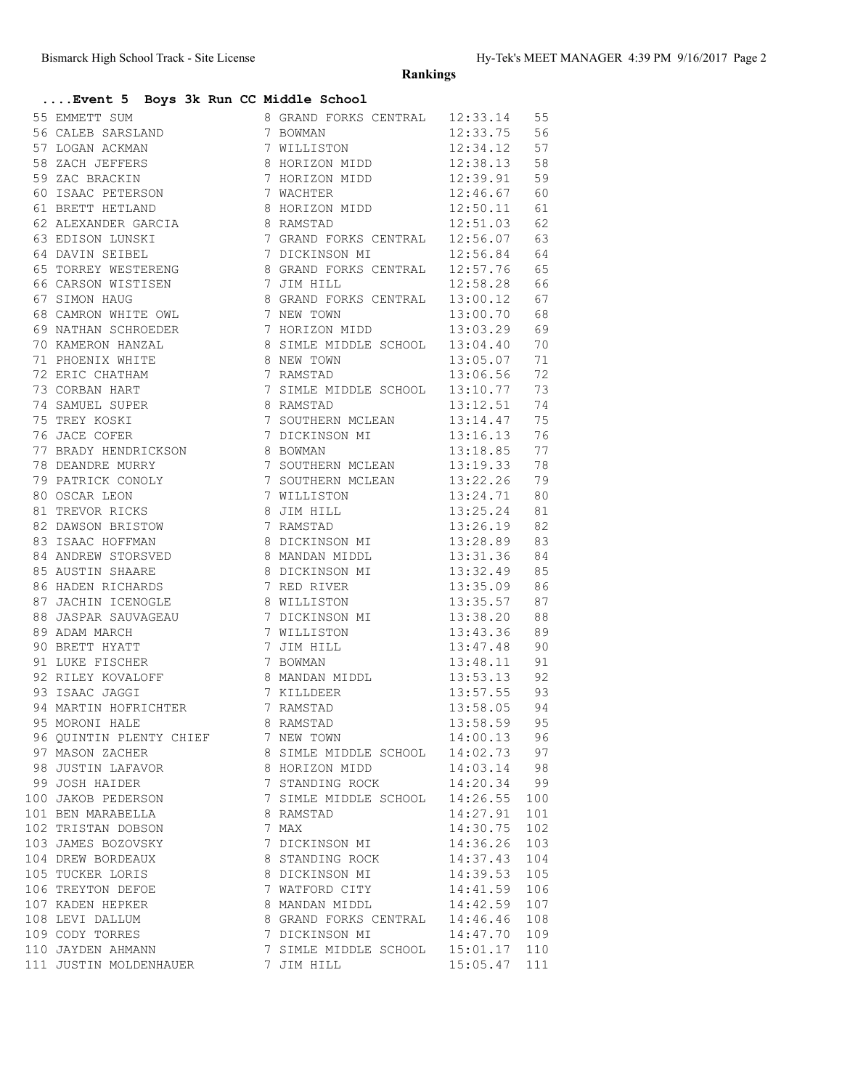**Rankings**

## **....Event 5 Boys 3k Run CC Middle School**

| 56 CALEB SARSLAND<br>57 LOGAN ACKMAN<br>58 ZACH JEFFERS<br>59 ZAC BRACKIN<br>60 ISAAC PETERS<br>12:33.75 56<br>12:34.12 57<br>7 WILLISTON<br>8 HORT70N<br>8 HORIZON MIDD 12:38.13<br>58<br>7 HORIZON MIDD 12:39.91<br>59<br>60 ISAAC PETERSON<br>7 WACHTER<br>12:46.67<br>60<br>61 BRETT HETLAND<br>8 HORIZON MIDD 12:50.11<br>61<br>8 RAMSTAD 12:51.03<br>7 GRAND FORKS CENTRAL 12:56.07<br>7 DICKINSON MI 12:56.84<br>12:51.03<br>62<br>62 ALEXANDER GARCIA<br>63 EDISON LUNSKI<br>64 DAVIN SEIBEL<br>63<br>64<br>65 TORREY WESTERENG 8 GRAND FORKS CENTRAL 12:57.76<br>65<br>66 CARSON WISTISEN 7 JIM HILL<br>12:58.28<br>66<br>8 GRAND FORKS CENTRAL 13:00.12<br>67 SIMON HAUG<br>67<br>7 NEW TOWN<br>7 HORIZON MIDD<br>8 SIMLE MIDDLE SCHOOL<br>13:00.70 68<br>68 CAMRON WHITE OWL<br>13:03.29<br>69 NATHAN SCHROEDER<br>69<br>70 KAMERON HANZAL<br>8 SIMLE MIDDLE SCHOOL 13:04.40<br>70<br>71 PHOENIX WHITE<br>8 NEW TOWN 13:05.07<br>7 RAMSTAD 13:06.56<br>71<br>72 ERIC CHATHAM<br>72<br>7 SIMLE MIDDLE SCHOOL 13:10.77 73<br>73 CORBAN HART<br>13:12.51 74<br>13:12.51 74<br>75 TREY KOSKI 79<br>76 JACE COFER 7 DICKINSON MINISTRAD 13:14.47 75<br>77 BRADY HENDRICKSON 8 BOWMAN 13:18.85 77<br>7 SOUTHERN MCLEAN 13:19.33<br>78 DEANDRE MURRY<br>78<br>79 PATRICK CONOLY 7 SOUTHERN MCLEAN 13:22.26 79<br>80 OSCAR LEON<br>81 TREVOR RICKS<br>7 WILLISTON<br>$13:24.71$ 80<br>8 JIM HILL<br>7 RAMSTAD<br>13:25.24 81<br>82 DAWSON BRISTOW<br>13:26.19<br>82<br>83 ISAAC HOFFMAN<br>8 DICKINSON MI 13:28.89<br>83<br>84 ANDREW STORSVED 8 MANDAN MIDDL 13:31.36<br>84<br>85 AUSTIN SHAARE<br>8 DICKINSON MI 13:32.49<br>85<br>7 RED RIVER<br>86 HADEN RICHARDS<br>13:35.09<br>86<br>13:35.57<br>87 JACHIN ICENOGLE<br>8 WILLISTON<br>87<br>88 JASPAR SAUVAGEAU (2008)<br>29 ADAM MARCH (2008) 7 MILLISHON MI<br>13:38.20<br>88<br>13:43.36<br>89<br>90 BRETT HYATT<br>7 JIM HILL<br>13:47.48 90<br>7 BOWMAN<br>91 LUKE FISCHER<br>13:48.11 91<br>92 RILEY KOVALOFF 8 MANDAN MIDDL 13:53.13 92<br>93 ISAAC JAGGI 7 KILLDEER 13:57.55 93<br>94 MARTIN HOFRICHTER 7 RAMSTAD 13:58.05 94<br>95 MORONI HALE 8 RAMSTAD 13:58.59 95<br>8 RAMSTAD 13:58.59<br>95<br>95 MORONI HALE<br>96 QUINTIN PLENTY CHIEF 7 NEW TOWN<br>14:00.13 96<br>8 SIMLE MIDDLE SCHOOL 14:02.73 97<br>97 MASON ZACHER<br>8 HORIZON MIDD 14:03.14 98<br>7 STANDING ROCK 14:20.34 99<br>98 JUSTIN LAFAVOR<br>99 JOSH HAIDER<br>7 SIMLE MIDDLE SCHOOL 14:26.55<br>100 JAKOB PEDERSON<br>100<br>101 BEN MARABELLA<br>14:27.91<br>101<br>8 RAMSTAD<br>102<br>102 TRISTAN DOBSON<br>7 MAX<br>14:30.75<br>7 DICKINSON MI 14:36.26<br>103 JAMES BOZOVSKY<br>103<br>104 DREW BORDEAUX<br>8 STANDING ROCK<br>14:37.43<br>104<br>8 DICKINSON MI<br>105<br>105 TUCKER LORIS<br>14:39.53<br>7 WATFORD CITY 14:41.59<br>106 TREYTON DEFOE<br>106<br>8 MANDAN MIDDL 14:42.59<br>107 KADEN HEPKER<br>107<br>8 GRAND FORKS CENTRAL 14:46.46<br>108 LEVI DALLUM<br>108<br>14:47.70<br>109 CODY TORRES<br>7 DICKINSON MI<br>109<br>110 JAYDEN AHMANN<br>7 SIMLE MIDDLE SCHOOL 15:01.17<br>110<br>111 JUSTIN MOLDENHAUER<br>7 JIM HILL<br>15:05.47<br>111 | 55 EMMETT SUM | 8 GRAND FORKS CENTRAL 12:33.14 | 55 |
|-------------------------------------------------------------------------------------------------------------------------------------------------------------------------------------------------------------------------------------------------------------------------------------------------------------------------------------------------------------------------------------------------------------------------------------------------------------------------------------------------------------------------------------------------------------------------------------------------------------------------------------------------------------------------------------------------------------------------------------------------------------------------------------------------------------------------------------------------------------------------------------------------------------------------------------------------------------------------------------------------------------------------------------------------------------------------------------------------------------------------------------------------------------------------------------------------------------------------------------------------------------------------------------------------------------------------------------------------------------------------------------------------------------------------------------------------------------------------------------------------------------------------------------------------------------------------------------------------------------------------------------------------------------------------------------------------------------------------------------------------------------------------------------------------------------------------------------------------------------------------------------------------------------------------------------------------------------------------------------------------------------------------------------------------------------------------------------------------------------------------------------------------------------------------------------------------------------------------------------------------------------------------------------------------------------------------------------------------------------------------------------------------------------------------------------------------------------------------------------------------------------------------------------------------------------------------------------------------------------------------------------------------------------------------------------------------------------------------------------------------------------------------------------------------------------------------------------------------------------------------------------------------------------------------------------------------------------------------------------------------------------------------------------------------------------------------------------------------------------------|---------------|--------------------------------|----|
|                                                                                                                                                                                                                                                                                                                                                                                                                                                                                                                                                                                                                                                                                                                                                                                                                                                                                                                                                                                                                                                                                                                                                                                                                                                                                                                                                                                                                                                                                                                                                                                                                                                                                                                                                                                                                                                                                                                                                                                                                                                                                                                                                                                                                                                                                                                                                                                                                                                                                                                                                                                                                                                                                                                                                                                                                                                                                                                                                                                                                                                                                                                   |               |                                |    |
|                                                                                                                                                                                                                                                                                                                                                                                                                                                                                                                                                                                                                                                                                                                                                                                                                                                                                                                                                                                                                                                                                                                                                                                                                                                                                                                                                                                                                                                                                                                                                                                                                                                                                                                                                                                                                                                                                                                                                                                                                                                                                                                                                                                                                                                                                                                                                                                                                                                                                                                                                                                                                                                                                                                                                                                                                                                                                                                                                                                                                                                                                                                   |               |                                |    |
|                                                                                                                                                                                                                                                                                                                                                                                                                                                                                                                                                                                                                                                                                                                                                                                                                                                                                                                                                                                                                                                                                                                                                                                                                                                                                                                                                                                                                                                                                                                                                                                                                                                                                                                                                                                                                                                                                                                                                                                                                                                                                                                                                                                                                                                                                                                                                                                                                                                                                                                                                                                                                                                                                                                                                                                                                                                                                                                                                                                                                                                                                                                   |               |                                |    |
|                                                                                                                                                                                                                                                                                                                                                                                                                                                                                                                                                                                                                                                                                                                                                                                                                                                                                                                                                                                                                                                                                                                                                                                                                                                                                                                                                                                                                                                                                                                                                                                                                                                                                                                                                                                                                                                                                                                                                                                                                                                                                                                                                                                                                                                                                                                                                                                                                                                                                                                                                                                                                                                                                                                                                                                                                                                                                                                                                                                                                                                                                                                   |               |                                |    |
|                                                                                                                                                                                                                                                                                                                                                                                                                                                                                                                                                                                                                                                                                                                                                                                                                                                                                                                                                                                                                                                                                                                                                                                                                                                                                                                                                                                                                                                                                                                                                                                                                                                                                                                                                                                                                                                                                                                                                                                                                                                                                                                                                                                                                                                                                                                                                                                                                                                                                                                                                                                                                                                                                                                                                                                                                                                                                                                                                                                                                                                                                                                   |               |                                |    |
|                                                                                                                                                                                                                                                                                                                                                                                                                                                                                                                                                                                                                                                                                                                                                                                                                                                                                                                                                                                                                                                                                                                                                                                                                                                                                                                                                                                                                                                                                                                                                                                                                                                                                                                                                                                                                                                                                                                                                                                                                                                                                                                                                                                                                                                                                                                                                                                                                                                                                                                                                                                                                                                                                                                                                                                                                                                                                                                                                                                                                                                                                                                   |               |                                |    |
|                                                                                                                                                                                                                                                                                                                                                                                                                                                                                                                                                                                                                                                                                                                                                                                                                                                                                                                                                                                                                                                                                                                                                                                                                                                                                                                                                                                                                                                                                                                                                                                                                                                                                                                                                                                                                                                                                                                                                                                                                                                                                                                                                                                                                                                                                                                                                                                                                                                                                                                                                                                                                                                                                                                                                                                                                                                                                                                                                                                                                                                                                                                   |               |                                |    |
|                                                                                                                                                                                                                                                                                                                                                                                                                                                                                                                                                                                                                                                                                                                                                                                                                                                                                                                                                                                                                                                                                                                                                                                                                                                                                                                                                                                                                                                                                                                                                                                                                                                                                                                                                                                                                                                                                                                                                                                                                                                                                                                                                                                                                                                                                                                                                                                                                                                                                                                                                                                                                                                                                                                                                                                                                                                                                                                                                                                                                                                                                                                   |               |                                |    |
|                                                                                                                                                                                                                                                                                                                                                                                                                                                                                                                                                                                                                                                                                                                                                                                                                                                                                                                                                                                                                                                                                                                                                                                                                                                                                                                                                                                                                                                                                                                                                                                                                                                                                                                                                                                                                                                                                                                                                                                                                                                                                                                                                                                                                                                                                                                                                                                                                                                                                                                                                                                                                                                                                                                                                                                                                                                                                                                                                                                                                                                                                                                   |               |                                |    |
|                                                                                                                                                                                                                                                                                                                                                                                                                                                                                                                                                                                                                                                                                                                                                                                                                                                                                                                                                                                                                                                                                                                                                                                                                                                                                                                                                                                                                                                                                                                                                                                                                                                                                                                                                                                                                                                                                                                                                                                                                                                                                                                                                                                                                                                                                                                                                                                                                                                                                                                                                                                                                                                                                                                                                                                                                                                                                                                                                                                                                                                                                                                   |               |                                |    |
|                                                                                                                                                                                                                                                                                                                                                                                                                                                                                                                                                                                                                                                                                                                                                                                                                                                                                                                                                                                                                                                                                                                                                                                                                                                                                                                                                                                                                                                                                                                                                                                                                                                                                                                                                                                                                                                                                                                                                                                                                                                                                                                                                                                                                                                                                                                                                                                                                                                                                                                                                                                                                                                                                                                                                                                                                                                                                                                                                                                                                                                                                                                   |               |                                |    |
|                                                                                                                                                                                                                                                                                                                                                                                                                                                                                                                                                                                                                                                                                                                                                                                                                                                                                                                                                                                                                                                                                                                                                                                                                                                                                                                                                                                                                                                                                                                                                                                                                                                                                                                                                                                                                                                                                                                                                                                                                                                                                                                                                                                                                                                                                                                                                                                                                                                                                                                                                                                                                                                                                                                                                                                                                                                                                                                                                                                                                                                                                                                   |               |                                |    |
|                                                                                                                                                                                                                                                                                                                                                                                                                                                                                                                                                                                                                                                                                                                                                                                                                                                                                                                                                                                                                                                                                                                                                                                                                                                                                                                                                                                                                                                                                                                                                                                                                                                                                                                                                                                                                                                                                                                                                                                                                                                                                                                                                                                                                                                                                                                                                                                                                                                                                                                                                                                                                                                                                                                                                                                                                                                                                                                                                                                                                                                                                                                   |               |                                |    |
|                                                                                                                                                                                                                                                                                                                                                                                                                                                                                                                                                                                                                                                                                                                                                                                                                                                                                                                                                                                                                                                                                                                                                                                                                                                                                                                                                                                                                                                                                                                                                                                                                                                                                                                                                                                                                                                                                                                                                                                                                                                                                                                                                                                                                                                                                                                                                                                                                                                                                                                                                                                                                                                                                                                                                                                                                                                                                                                                                                                                                                                                                                                   |               |                                |    |
|                                                                                                                                                                                                                                                                                                                                                                                                                                                                                                                                                                                                                                                                                                                                                                                                                                                                                                                                                                                                                                                                                                                                                                                                                                                                                                                                                                                                                                                                                                                                                                                                                                                                                                                                                                                                                                                                                                                                                                                                                                                                                                                                                                                                                                                                                                                                                                                                                                                                                                                                                                                                                                                                                                                                                                                                                                                                                                                                                                                                                                                                                                                   |               |                                |    |
|                                                                                                                                                                                                                                                                                                                                                                                                                                                                                                                                                                                                                                                                                                                                                                                                                                                                                                                                                                                                                                                                                                                                                                                                                                                                                                                                                                                                                                                                                                                                                                                                                                                                                                                                                                                                                                                                                                                                                                                                                                                                                                                                                                                                                                                                                                                                                                                                                                                                                                                                                                                                                                                                                                                                                                                                                                                                                                                                                                                                                                                                                                                   |               |                                |    |
|                                                                                                                                                                                                                                                                                                                                                                                                                                                                                                                                                                                                                                                                                                                                                                                                                                                                                                                                                                                                                                                                                                                                                                                                                                                                                                                                                                                                                                                                                                                                                                                                                                                                                                                                                                                                                                                                                                                                                                                                                                                                                                                                                                                                                                                                                                                                                                                                                                                                                                                                                                                                                                                                                                                                                                                                                                                                                                                                                                                                                                                                                                                   |               |                                |    |
|                                                                                                                                                                                                                                                                                                                                                                                                                                                                                                                                                                                                                                                                                                                                                                                                                                                                                                                                                                                                                                                                                                                                                                                                                                                                                                                                                                                                                                                                                                                                                                                                                                                                                                                                                                                                                                                                                                                                                                                                                                                                                                                                                                                                                                                                                                                                                                                                                                                                                                                                                                                                                                                                                                                                                                                                                                                                                                                                                                                                                                                                                                                   |               |                                |    |
|                                                                                                                                                                                                                                                                                                                                                                                                                                                                                                                                                                                                                                                                                                                                                                                                                                                                                                                                                                                                                                                                                                                                                                                                                                                                                                                                                                                                                                                                                                                                                                                                                                                                                                                                                                                                                                                                                                                                                                                                                                                                                                                                                                                                                                                                                                                                                                                                                                                                                                                                                                                                                                                                                                                                                                                                                                                                                                                                                                                                                                                                                                                   |               |                                |    |
|                                                                                                                                                                                                                                                                                                                                                                                                                                                                                                                                                                                                                                                                                                                                                                                                                                                                                                                                                                                                                                                                                                                                                                                                                                                                                                                                                                                                                                                                                                                                                                                                                                                                                                                                                                                                                                                                                                                                                                                                                                                                                                                                                                                                                                                                                                                                                                                                                                                                                                                                                                                                                                                                                                                                                                                                                                                                                                                                                                                                                                                                                                                   |               |                                |    |
|                                                                                                                                                                                                                                                                                                                                                                                                                                                                                                                                                                                                                                                                                                                                                                                                                                                                                                                                                                                                                                                                                                                                                                                                                                                                                                                                                                                                                                                                                                                                                                                                                                                                                                                                                                                                                                                                                                                                                                                                                                                                                                                                                                                                                                                                                                                                                                                                                                                                                                                                                                                                                                                                                                                                                                                                                                                                                                                                                                                                                                                                                                                   |               |                                |    |
|                                                                                                                                                                                                                                                                                                                                                                                                                                                                                                                                                                                                                                                                                                                                                                                                                                                                                                                                                                                                                                                                                                                                                                                                                                                                                                                                                                                                                                                                                                                                                                                                                                                                                                                                                                                                                                                                                                                                                                                                                                                                                                                                                                                                                                                                                                                                                                                                                                                                                                                                                                                                                                                                                                                                                                                                                                                                                                                                                                                                                                                                                                                   |               |                                |    |
|                                                                                                                                                                                                                                                                                                                                                                                                                                                                                                                                                                                                                                                                                                                                                                                                                                                                                                                                                                                                                                                                                                                                                                                                                                                                                                                                                                                                                                                                                                                                                                                                                                                                                                                                                                                                                                                                                                                                                                                                                                                                                                                                                                                                                                                                                                                                                                                                                                                                                                                                                                                                                                                                                                                                                                                                                                                                                                                                                                                                                                                                                                                   |               |                                |    |
|                                                                                                                                                                                                                                                                                                                                                                                                                                                                                                                                                                                                                                                                                                                                                                                                                                                                                                                                                                                                                                                                                                                                                                                                                                                                                                                                                                                                                                                                                                                                                                                                                                                                                                                                                                                                                                                                                                                                                                                                                                                                                                                                                                                                                                                                                                                                                                                                                                                                                                                                                                                                                                                                                                                                                                                                                                                                                                                                                                                                                                                                                                                   |               |                                |    |
|                                                                                                                                                                                                                                                                                                                                                                                                                                                                                                                                                                                                                                                                                                                                                                                                                                                                                                                                                                                                                                                                                                                                                                                                                                                                                                                                                                                                                                                                                                                                                                                                                                                                                                                                                                                                                                                                                                                                                                                                                                                                                                                                                                                                                                                                                                                                                                                                                                                                                                                                                                                                                                                                                                                                                                                                                                                                                                                                                                                                                                                                                                                   |               |                                |    |
|                                                                                                                                                                                                                                                                                                                                                                                                                                                                                                                                                                                                                                                                                                                                                                                                                                                                                                                                                                                                                                                                                                                                                                                                                                                                                                                                                                                                                                                                                                                                                                                                                                                                                                                                                                                                                                                                                                                                                                                                                                                                                                                                                                                                                                                                                                                                                                                                                                                                                                                                                                                                                                                                                                                                                                                                                                                                                                                                                                                                                                                                                                                   |               |                                |    |
|                                                                                                                                                                                                                                                                                                                                                                                                                                                                                                                                                                                                                                                                                                                                                                                                                                                                                                                                                                                                                                                                                                                                                                                                                                                                                                                                                                                                                                                                                                                                                                                                                                                                                                                                                                                                                                                                                                                                                                                                                                                                                                                                                                                                                                                                                                                                                                                                                                                                                                                                                                                                                                                                                                                                                                                                                                                                                                                                                                                                                                                                                                                   |               |                                |    |
|                                                                                                                                                                                                                                                                                                                                                                                                                                                                                                                                                                                                                                                                                                                                                                                                                                                                                                                                                                                                                                                                                                                                                                                                                                                                                                                                                                                                                                                                                                                                                                                                                                                                                                                                                                                                                                                                                                                                                                                                                                                                                                                                                                                                                                                                                                                                                                                                                                                                                                                                                                                                                                                                                                                                                                                                                                                                                                                                                                                                                                                                                                                   |               |                                |    |
|                                                                                                                                                                                                                                                                                                                                                                                                                                                                                                                                                                                                                                                                                                                                                                                                                                                                                                                                                                                                                                                                                                                                                                                                                                                                                                                                                                                                                                                                                                                                                                                                                                                                                                                                                                                                                                                                                                                                                                                                                                                                                                                                                                                                                                                                                                                                                                                                                                                                                                                                                                                                                                                                                                                                                                                                                                                                                                                                                                                                                                                                                                                   |               |                                |    |
|                                                                                                                                                                                                                                                                                                                                                                                                                                                                                                                                                                                                                                                                                                                                                                                                                                                                                                                                                                                                                                                                                                                                                                                                                                                                                                                                                                                                                                                                                                                                                                                                                                                                                                                                                                                                                                                                                                                                                                                                                                                                                                                                                                                                                                                                                                                                                                                                                                                                                                                                                                                                                                                                                                                                                                                                                                                                                                                                                                                                                                                                                                                   |               |                                |    |
|                                                                                                                                                                                                                                                                                                                                                                                                                                                                                                                                                                                                                                                                                                                                                                                                                                                                                                                                                                                                                                                                                                                                                                                                                                                                                                                                                                                                                                                                                                                                                                                                                                                                                                                                                                                                                                                                                                                                                                                                                                                                                                                                                                                                                                                                                                                                                                                                                                                                                                                                                                                                                                                                                                                                                                                                                                                                                                                                                                                                                                                                                                                   |               |                                |    |
|                                                                                                                                                                                                                                                                                                                                                                                                                                                                                                                                                                                                                                                                                                                                                                                                                                                                                                                                                                                                                                                                                                                                                                                                                                                                                                                                                                                                                                                                                                                                                                                                                                                                                                                                                                                                                                                                                                                                                                                                                                                                                                                                                                                                                                                                                                                                                                                                                                                                                                                                                                                                                                                                                                                                                                                                                                                                                                                                                                                                                                                                                                                   |               |                                |    |
|                                                                                                                                                                                                                                                                                                                                                                                                                                                                                                                                                                                                                                                                                                                                                                                                                                                                                                                                                                                                                                                                                                                                                                                                                                                                                                                                                                                                                                                                                                                                                                                                                                                                                                                                                                                                                                                                                                                                                                                                                                                                                                                                                                                                                                                                                                                                                                                                                                                                                                                                                                                                                                                                                                                                                                                                                                                                                                                                                                                                                                                                                                                   |               |                                |    |
|                                                                                                                                                                                                                                                                                                                                                                                                                                                                                                                                                                                                                                                                                                                                                                                                                                                                                                                                                                                                                                                                                                                                                                                                                                                                                                                                                                                                                                                                                                                                                                                                                                                                                                                                                                                                                                                                                                                                                                                                                                                                                                                                                                                                                                                                                                                                                                                                                                                                                                                                                                                                                                                                                                                                                                                                                                                                                                                                                                                                                                                                                                                   |               |                                |    |
|                                                                                                                                                                                                                                                                                                                                                                                                                                                                                                                                                                                                                                                                                                                                                                                                                                                                                                                                                                                                                                                                                                                                                                                                                                                                                                                                                                                                                                                                                                                                                                                                                                                                                                                                                                                                                                                                                                                                                                                                                                                                                                                                                                                                                                                                                                                                                                                                                                                                                                                                                                                                                                                                                                                                                                                                                                                                                                                                                                                                                                                                                                                   |               |                                |    |
|                                                                                                                                                                                                                                                                                                                                                                                                                                                                                                                                                                                                                                                                                                                                                                                                                                                                                                                                                                                                                                                                                                                                                                                                                                                                                                                                                                                                                                                                                                                                                                                                                                                                                                                                                                                                                                                                                                                                                                                                                                                                                                                                                                                                                                                                                                                                                                                                                                                                                                                                                                                                                                                                                                                                                                                                                                                                                                                                                                                                                                                                                                                   |               |                                |    |
|                                                                                                                                                                                                                                                                                                                                                                                                                                                                                                                                                                                                                                                                                                                                                                                                                                                                                                                                                                                                                                                                                                                                                                                                                                                                                                                                                                                                                                                                                                                                                                                                                                                                                                                                                                                                                                                                                                                                                                                                                                                                                                                                                                                                                                                                                                                                                                                                                                                                                                                                                                                                                                                                                                                                                                                                                                                                                                                                                                                                                                                                                                                   |               |                                |    |
|                                                                                                                                                                                                                                                                                                                                                                                                                                                                                                                                                                                                                                                                                                                                                                                                                                                                                                                                                                                                                                                                                                                                                                                                                                                                                                                                                                                                                                                                                                                                                                                                                                                                                                                                                                                                                                                                                                                                                                                                                                                                                                                                                                                                                                                                                                                                                                                                                                                                                                                                                                                                                                                                                                                                                                                                                                                                                                                                                                                                                                                                                                                   |               |                                |    |
|                                                                                                                                                                                                                                                                                                                                                                                                                                                                                                                                                                                                                                                                                                                                                                                                                                                                                                                                                                                                                                                                                                                                                                                                                                                                                                                                                                                                                                                                                                                                                                                                                                                                                                                                                                                                                                                                                                                                                                                                                                                                                                                                                                                                                                                                                                                                                                                                                                                                                                                                                                                                                                                                                                                                                                                                                                                                                                                                                                                                                                                                                                                   |               |                                |    |
|                                                                                                                                                                                                                                                                                                                                                                                                                                                                                                                                                                                                                                                                                                                                                                                                                                                                                                                                                                                                                                                                                                                                                                                                                                                                                                                                                                                                                                                                                                                                                                                                                                                                                                                                                                                                                                                                                                                                                                                                                                                                                                                                                                                                                                                                                                                                                                                                                                                                                                                                                                                                                                                                                                                                                                                                                                                                                                                                                                                                                                                                                                                   |               |                                |    |
|                                                                                                                                                                                                                                                                                                                                                                                                                                                                                                                                                                                                                                                                                                                                                                                                                                                                                                                                                                                                                                                                                                                                                                                                                                                                                                                                                                                                                                                                                                                                                                                                                                                                                                                                                                                                                                                                                                                                                                                                                                                                                                                                                                                                                                                                                                                                                                                                                                                                                                                                                                                                                                                                                                                                                                                                                                                                                                                                                                                                                                                                                                                   |               |                                |    |
|                                                                                                                                                                                                                                                                                                                                                                                                                                                                                                                                                                                                                                                                                                                                                                                                                                                                                                                                                                                                                                                                                                                                                                                                                                                                                                                                                                                                                                                                                                                                                                                                                                                                                                                                                                                                                                                                                                                                                                                                                                                                                                                                                                                                                                                                                                                                                                                                                                                                                                                                                                                                                                                                                                                                                                                                                                                                                                                                                                                                                                                                                                                   |               |                                |    |
|                                                                                                                                                                                                                                                                                                                                                                                                                                                                                                                                                                                                                                                                                                                                                                                                                                                                                                                                                                                                                                                                                                                                                                                                                                                                                                                                                                                                                                                                                                                                                                                                                                                                                                                                                                                                                                                                                                                                                                                                                                                                                                                                                                                                                                                                                                                                                                                                                                                                                                                                                                                                                                                                                                                                                                                                                                                                                                                                                                                                                                                                                                                   |               |                                |    |
|                                                                                                                                                                                                                                                                                                                                                                                                                                                                                                                                                                                                                                                                                                                                                                                                                                                                                                                                                                                                                                                                                                                                                                                                                                                                                                                                                                                                                                                                                                                                                                                                                                                                                                                                                                                                                                                                                                                                                                                                                                                                                                                                                                                                                                                                                                                                                                                                                                                                                                                                                                                                                                                                                                                                                                                                                                                                                                                                                                                                                                                                                                                   |               |                                |    |
|                                                                                                                                                                                                                                                                                                                                                                                                                                                                                                                                                                                                                                                                                                                                                                                                                                                                                                                                                                                                                                                                                                                                                                                                                                                                                                                                                                                                                                                                                                                                                                                                                                                                                                                                                                                                                                                                                                                                                                                                                                                                                                                                                                                                                                                                                                                                                                                                                                                                                                                                                                                                                                                                                                                                                                                                                                                                                                                                                                                                                                                                                                                   |               |                                |    |
|                                                                                                                                                                                                                                                                                                                                                                                                                                                                                                                                                                                                                                                                                                                                                                                                                                                                                                                                                                                                                                                                                                                                                                                                                                                                                                                                                                                                                                                                                                                                                                                                                                                                                                                                                                                                                                                                                                                                                                                                                                                                                                                                                                                                                                                                                                                                                                                                                                                                                                                                                                                                                                                                                                                                                                                                                                                                                                                                                                                                                                                                                                                   |               |                                |    |
|                                                                                                                                                                                                                                                                                                                                                                                                                                                                                                                                                                                                                                                                                                                                                                                                                                                                                                                                                                                                                                                                                                                                                                                                                                                                                                                                                                                                                                                                                                                                                                                                                                                                                                                                                                                                                                                                                                                                                                                                                                                                                                                                                                                                                                                                                                                                                                                                                                                                                                                                                                                                                                                                                                                                                                                                                                                                                                                                                                                                                                                                                                                   |               |                                |    |
|                                                                                                                                                                                                                                                                                                                                                                                                                                                                                                                                                                                                                                                                                                                                                                                                                                                                                                                                                                                                                                                                                                                                                                                                                                                                                                                                                                                                                                                                                                                                                                                                                                                                                                                                                                                                                                                                                                                                                                                                                                                                                                                                                                                                                                                                                                                                                                                                                                                                                                                                                                                                                                                                                                                                                                                                                                                                                                                                                                                                                                                                                                                   |               |                                |    |
|                                                                                                                                                                                                                                                                                                                                                                                                                                                                                                                                                                                                                                                                                                                                                                                                                                                                                                                                                                                                                                                                                                                                                                                                                                                                                                                                                                                                                                                                                                                                                                                                                                                                                                                                                                                                                                                                                                                                                                                                                                                                                                                                                                                                                                                                                                                                                                                                                                                                                                                                                                                                                                                                                                                                                                                                                                                                                                                                                                                                                                                                                                                   |               |                                |    |
|                                                                                                                                                                                                                                                                                                                                                                                                                                                                                                                                                                                                                                                                                                                                                                                                                                                                                                                                                                                                                                                                                                                                                                                                                                                                                                                                                                                                                                                                                                                                                                                                                                                                                                                                                                                                                                                                                                                                                                                                                                                                                                                                                                                                                                                                                                                                                                                                                                                                                                                                                                                                                                                                                                                                                                                                                                                                                                                                                                                                                                                                                                                   |               |                                |    |
|                                                                                                                                                                                                                                                                                                                                                                                                                                                                                                                                                                                                                                                                                                                                                                                                                                                                                                                                                                                                                                                                                                                                                                                                                                                                                                                                                                                                                                                                                                                                                                                                                                                                                                                                                                                                                                                                                                                                                                                                                                                                                                                                                                                                                                                                                                                                                                                                                                                                                                                                                                                                                                                                                                                                                                                                                                                                                                                                                                                                                                                                                                                   |               |                                |    |
|                                                                                                                                                                                                                                                                                                                                                                                                                                                                                                                                                                                                                                                                                                                                                                                                                                                                                                                                                                                                                                                                                                                                                                                                                                                                                                                                                                                                                                                                                                                                                                                                                                                                                                                                                                                                                                                                                                                                                                                                                                                                                                                                                                                                                                                                                                                                                                                                                                                                                                                                                                                                                                                                                                                                                                                                                                                                                                                                                                                                                                                                                                                   |               |                                |    |
|                                                                                                                                                                                                                                                                                                                                                                                                                                                                                                                                                                                                                                                                                                                                                                                                                                                                                                                                                                                                                                                                                                                                                                                                                                                                                                                                                                                                                                                                                                                                                                                                                                                                                                                                                                                                                                                                                                                                                                                                                                                                                                                                                                                                                                                                                                                                                                                                                                                                                                                                                                                                                                                                                                                                                                                                                                                                                                                                                                                                                                                                                                                   |               |                                |    |
|                                                                                                                                                                                                                                                                                                                                                                                                                                                                                                                                                                                                                                                                                                                                                                                                                                                                                                                                                                                                                                                                                                                                                                                                                                                                                                                                                                                                                                                                                                                                                                                                                                                                                                                                                                                                                                                                                                                                                                                                                                                                                                                                                                                                                                                                                                                                                                                                                                                                                                                                                                                                                                                                                                                                                                                                                                                                                                                                                                                                                                                                                                                   |               |                                |    |
|                                                                                                                                                                                                                                                                                                                                                                                                                                                                                                                                                                                                                                                                                                                                                                                                                                                                                                                                                                                                                                                                                                                                                                                                                                                                                                                                                                                                                                                                                                                                                                                                                                                                                                                                                                                                                                                                                                                                                                                                                                                                                                                                                                                                                                                                                                                                                                                                                                                                                                                                                                                                                                                                                                                                                                                                                                                                                                                                                                                                                                                                                                                   |               |                                |    |
|                                                                                                                                                                                                                                                                                                                                                                                                                                                                                                                                                                                                                                                                                                                                                                                                                                                                                                                                                                                                                                                                                                                                                                                                                                                                                                                                                                                                                                                                                                                                                                                                                                                                                                                                                                                                                                                                                                                                                                                                                                                                                                                                                                                                                                                                                                                                                                                                                                                                                                                                                                                                                                                                                                                                                                                                                                                                                                                                                                                                                                                                                                                   |               |                                |    |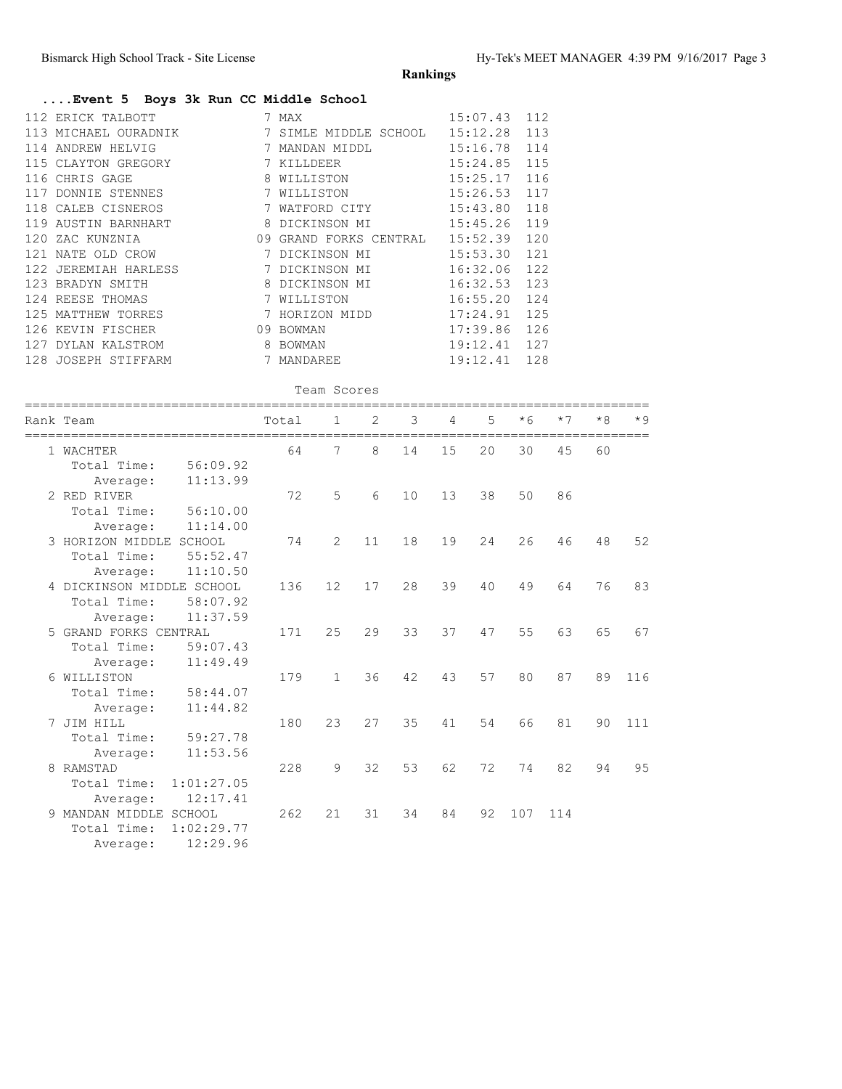Average: 12:29.96

**Rankings**

### **....Event 5 Boys 3k Run CC Middle School**

| 112 ERICK TALBOTT    |  |                                                                                                                                                                                                                                           |                                                                                                                                                                                                                                                                                                                                |
|----------------------|--|-------------------------------------------------------------------------------------------------------------------------------------------------------------------------------------------------------------------------------------------|--------------------------------------------------------------------------------------------------------------------------------------------------------------------------------------------------------------------------------------------------------------------------------------------------------------------------------|
| 113 MICHAEL OURADNIK |  |                                                                                                                                                                                                                                           |                                                                                                                                                                                                                                                                                                                                |
| 114 ANDREW HELVIG    |  |                                                                                                                                                                                                                                           |                                                                                                                                                                                                                                                                                                                                |
| 115 CLAYTON GREGORY  |  |                                                                                                                                                                                                                                           |                                                                                                                                                                                                                                                                                                                                |
| 116 CHRIS GAGE       |  |                                                                                                                                                                                                                                           |                                                                                                                                                                                                                                                                                                                                |
| 117 DONNIE STENNES   |  |                                                                                                                                                                                                                                           |                                                                                                                                                                                                                                                                                                                                |
| 118 CALEB CISNEROS   |  |                                                                                                                                                                                                                                           |                                                                                                                                                                                                                                                                                                                                |
| 119 AUSTIN BARNHART  |  |                                                                                                                                                                                                                                           |                                                                                                                                                                                                                                                                                                                                |
| 120 ZAC KUNZNIA      |  |                                                                                                                                                                                                                                           |                                                                                                                                                                                                                                                                                                                                |
| 121 NATE OLD CROW    |  |                                                                                                                                                                                                                                           |                                                                                                                                                                                                                                                                                                                                |
|                      |  |                                                                                                                                                                                                                                           |                                                                                                                                                                                                                                                                                                                                |
| 123 BRADYN SMITH     |  |                                                                                                                                                                                                                                           |                                                                                                                                                                                                                                                                                                                                |
| 124 REESE THOMAS     |  |                                                                                                                                                                                                                                           |                                                                                                                                                                                                                                                                                                                                |
| 125 MATTHEW TORRES   |  |                                                                                                                                                                                                                                           |                                                                                                                                                                                                                                                                                                                                |
| 126 KEVIN FISCHER    |  |                                                                                                                                                                                                                                           |                                                                                                                                                                                                                                                                                                                                |
| 127 DYLAN KALSTROM   |  |                                                                                                                                                                                                                                           |                                                                                                                                                                                                                                                                                                                                |
| 128 JOSEPH STIFFARM  |  |                                                                                                                                                                                                                                           |                                                                                                                                                                                                                                                                                                                                |
|                      |  | 7 MAX<br>7 KILLDEER<br>8 WILLISTON<br>7 WILLISTON<br>7 WATFORD CITY<br>7 DICKINSON MI<br>122 JEREMIAH HARLESS                    7 DICKINSON MI<br>8 DICKINSON MI<br>7 WILLISTON<br>7 HORIZON MIDD<br>09 BOWMAN<br>8 BOWMAN<br>7 MANDAREE | 15:07.43 112<br>7 SIMLE MIDDLE SCHOOL 15:12.28 113<br>MANDAN MIDDL 15:16.78 114<br>15:24.85 115<br>15:25.17 116<br>15:26.53 117<br>15:43.80 118<br>09 GRAND FORKS CENTRAL 15:52.39 120<br>15:53.30 121<br>16:32.06 122<br>$16:32.53$ 123<br>16:55.20 124<br>$17:24.91$ 125<br>17:39.86 126<br>$19:12.41$ 127<br>$19:12.41$ 128 |

#### Team Scores

|   | Rank Team                  | Total | 1            | 2  | 3  | 4  | 5  | $*6$ | $*7$ | $*8$ | $*9$ |
|---|----------------------------|-------|--------------|----|----|----|----|------|------|------|------|
|   | 1 WACHTER                  | 64    | 7            | 8  | 14 | 15 | 20 | 30   | 45   | 60   |      |
|   | Total Time:<br>56:09.92    |       |              |    |    |    |    |      |      |      |      |
|   | 11:13.99<br>Average:       |       |              |    |    |    |    |      |      |      |      |
|   | 2 RED RIVER                | 72    | 5            | 6  | 10 | 13 | 38 | 50   | 86   |      |      |
|   | Total Time:<br>56:10.00    |       |              |    |    |    |    |      |      |      |      |
|   | 11:14.00<br>Average:       |       |              |    |    |    |    |      |      |      |      |
|   | 3 HORIZON MIDDLE<br>SCHOOL | 74    | 2            | 11 | 18 | 19 | 24 | 26   | 46   | 48   | 52   |
|   | Total Time:<br>55:52.47    |       |              |    |    |    |    |      |      |      |      |
|   | 11:10.50<br>Average:       |       |              |    |    |    |    |      |      |      |      |
|   | 4 DICKINSON MIDDLE SCHOOL  | 136   | 12           | 17 | 28 | 39 | 40 | 49   | 64   | 76   | 83   |
|   | Total Time:<br>58:07.92    |       |              |    |    |    |    |      |      |      |      |
|   | 11:37.59<br>Average:       |       |              |    |    |    |    |      |      |      |      |
|   | 5 GRAND FORKS CENTRAL      | 171   | 25           | 29 | 33 | 37 | 47 | 55   | 63   | 65   | 67   |
|   | 59:07.43<br>Total Time:    |       |              |    |    |    |    |      |      |      |      |
|   | 11:49.49<br>Average:       |       |              |    |    |    |    |      |      |      |      |
|   | 6 WILLISTON                | 179   | $\mathbf{1}$ | 36 | 42 | 43 | 57 | 80   | 87   | 89   | 116  |
|   | Total Time:<br>58:44.07    |       |              |    |    |    |    |      |      |      |      |
|   | 11:44.82<br>Average:       |       |              |    |    |    |    |      |      |      |      |
|   | 7 JIM HILL                 | 180   | 23           | 27 | 35 | 41 | 54 | 66   | 81   | 90   | 111  |
|   | Total Time:<br>59:27.78    |       |              |    |    |    |    |      |      |      |      |
|   | 11:53.56<br>Average:       |       |              |    |    |    |    |      |      |      |      |
| 8 | RAMSTAD                    | 228   | 9            | 32 | 53 | 62 | 72 | 74   | 82   | 94   | 95   |
|   | 1:01:27.05<br>Total Time:  |       |              |    |    |    |    |      |      |      |      |
|   | 12:17.41<br>Average:       |       |              |    |    |    |    |      |      |      |      |
|   | 9 MANDAN MIDDLE<br>SCHOOL  | 262   | 21           | 31 | 34 | 84 | 92 | 107  | 114  |      |      |
|   | 1:02:29.77<br>Total Time:  |       |              |    |    |    |    |      |      |      |      |